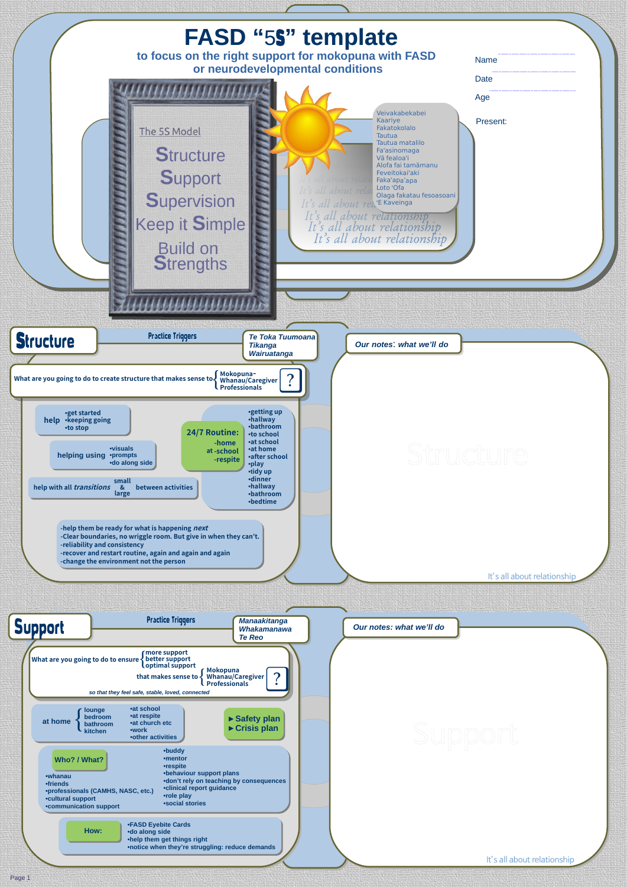